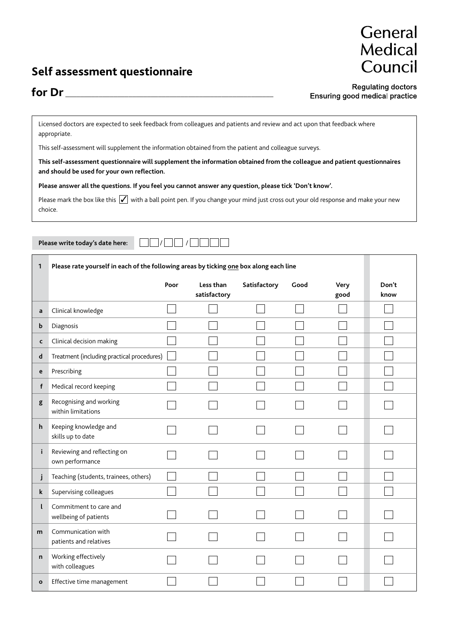## **Self assessment questionnaire**

## General Medical Council

## for Dr\_

**Regulating doctors** Ensuring good medical practice

Licensed doctors are expected to seek feedback from colleagues and patients and review and act upon that feedback where appropriate.

This self-assessment will supplement the information obtained from the patient and colleague surveys.

**This self-assessment questionnaire will supplement the information obtained from the colleague and patient questionnaires and should be used for your own reflection.**

**Please answer all the questions. If you feel you cannot answer any question, please tick 'Don't know'.**

Please mark the box like this  $\sqrt{\ }$  with a ball point pen. If you change your mind just cross out your old response and make your new choice.

Please write today's date here:

| 1            | Please rate yourself in each of the following areas by ticking one box along each line |      |                           |              |      |              |               |
|--------------|----------------------------------------------------------------------------------------|------|---------------------------|--------------|------|--------------|---------------|
|              |                                                                                        | Poor | Less than<br>satisfactory | Satisfactory | Good | Very<br>good | Don't<br>know |
| a            | Clinical knowledge                                                                     |      |                           |              |      |              |               |
| b            | Diagnosis                                                                              |      |                           |              |      |              |               |
| $\mathsf{C}$ | Clinical decision making                                                               |      |                           |              |      |              |               |
| $\mathsf{d}$ | Treatment (including practical procedures)                                             |      |                           |              |      |              |               |
| e            | Prescribing                                                                            |      |                           |              |      |              |               |
| f            | Medical record keeping                                                                 |      |                           |              |      |              |               |
| g            | Recognising and working<br>within limitations                                          |      |                           |              |      |              |               |
| h            | Keeping knowledge and<br>skills up to date                                             |      |                           |              |      |              |               |
| i.           | Reviewing and reflecting on<br>own performance                                         |      |                           |              |      |              |               |
| j            | Teaching (students, trainees, others)                                                  |      |                           |              |      |              |               |
| $\mathbf k$  | Supervising colleagues                                                                 |      |                           |              |      |              |               |
| $\mathsf{L}$ | Commitment to care and<br>wellbeing of patients                                        |      |                           |              |      |              |               |
| m            | Communication with<br>patients and relatives                                           |      |                           |              |      |              |               |
| n            | Working effectively<br>with colleagues                                                 |      |                           |              |      |              |               |
| $\mathbf{o}$ | Effective time management                                                              |      |                           |              |      |              |               |